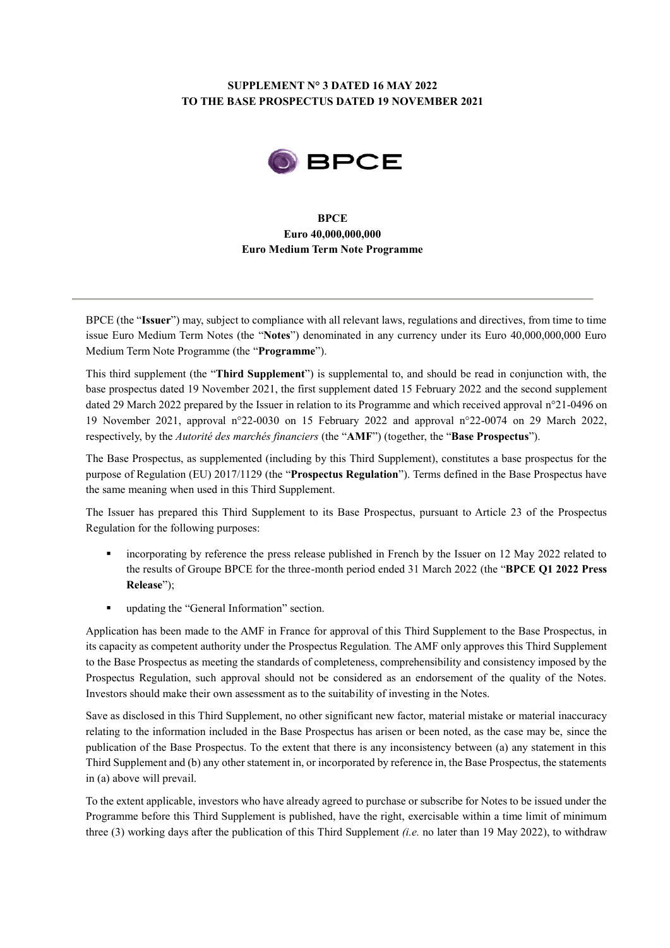# **SUPPLEMENT N° 3 DATED 16 MAY 2022 TO THE BASE PROSPECTUS DATED 19 NOVEMBER 2021**



## **BPCE Euro 40,000,000,000 Euro Medium Term Note Programme**

BPCE (the "**Issuer**") may, subject to compliance with all relevant laws, regulations and directives, from time to time issue Euro Medium Term Notes (the "**Notes**") denominated in any currency under its Euro 40,000,000,000 Euro Medium Term Note Programme (the "**Programme**").

This third supplement (the "**Third Supplement**") is supplemental to, and should be read in conjunction with, the base prospectus dated 19 November 2021, the first supplement dated 15 February 2022 and the second supplement dated 29 March 2022 prepared by the Issuer in relation to its Programme and which received approval n°21-0496 on 19 November 2021, approval n°22-0030 on 15 February 2022 and approval n°22-0074 on 29 March 2022, respectively, by the *Autorité des marchés financiers* (the "**AMF**") (together, the "**Base Prospectus**").

The Base Prospectus, as supplemented (including by this Third Supplement), constitutes a base prospectus for the purpose of Regulation (EU) 2017/1129 (the "**Prospectus Regulation**"). Terms defined in the Base Prospectus have the same meaning when used in this Third Supplement.

The Issuer has prepared this Third Supplement to its Base Prospectus, pursuant to Article 23 of the Prospectus Regulation for the following purposes:

- incorporating by reference the press release published in French by the Issuer on 12 May 2022 related to the results of Groupe BPCE for the three-month period ended 31 March 2022 (the "**BPCE Q1 2022 Press Release**");
- updating the "General Information" section.

Application has been made to the AMF in France for approval of this Third Supplement to the Base Prospectus, in its capacity as competent authority under the Prospectus Regulation*.* The AMF only approves this Third Supplement to the Base Prospectus as meeting the standards of completeness, comprehensibility and consistency imposed by the Prospectus Regulation, such approval should not be considered as an endorsement of the quality of the Notes. Investors should make their own assessment as to the suitability of investing in the Notes.

Save as disclosed in this Third Supplement, no other significant new factor, material mistake or material inaccuracy relating to the information included in the Base Prospectus has arisen or been noted, as the case may be, since the publication of the Base Prospectus. To the extent that there is any inconsistency between (a) any statement in this Third Supplement and (b) any other statement in, or incorporated by reference in, the Base Prospectus, the statements in (a) above will prevail.

To the extent applicable, investors who have already agreed to purchase or subscribe for Notes to be issued under the Programme before this Third Supplement is published, have the right, exercisable within a time limit of minimum three (3) working days after the publication of this Third Supplement *(i.e.* no later than 19 May 2022), to withdraw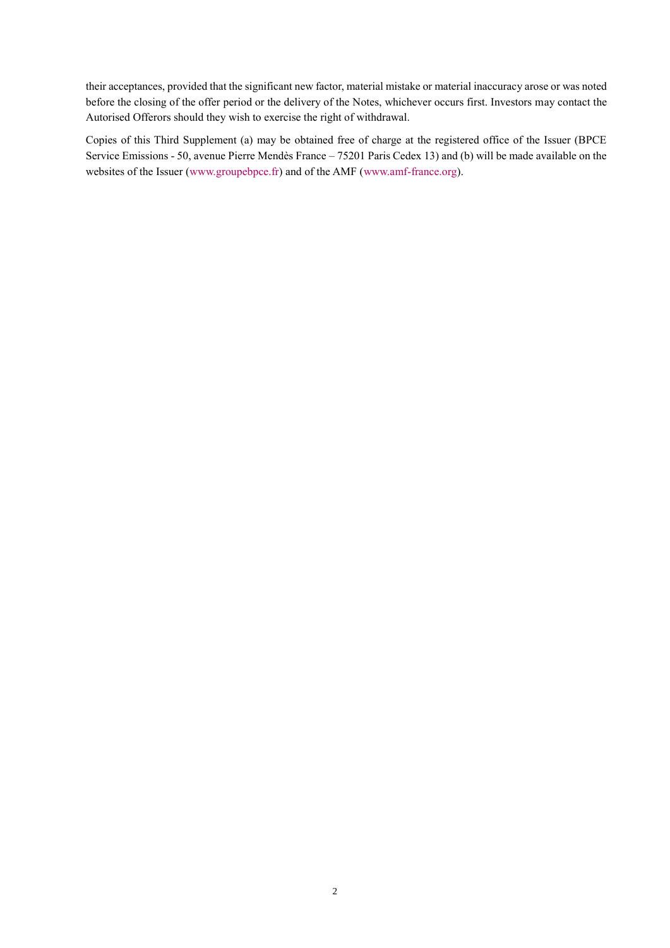their acceptances, provided that the significant new factor, material mistake or material inaccuracy arose or was noted before the closing of the offer period or the delivery of the Notes, whichever occurs first. Investors may contact the Autorised Offerors should they wish to exercise the right of withdrawal.

Copies of this Third Supplement (a) may be obtained free of charge at the registered office of the Issuer (BPCE Service Emissions - 50, avenue Pierre Mendès France – 75201 Paris Cedex 13) and (b) will be made available on the websites of the Issuer [\(www.groupebpce.fr\)](http://www.groupebpce.fr/) and of the AMF [\(www.amf-france.org\)](http://www.amf-france.org/).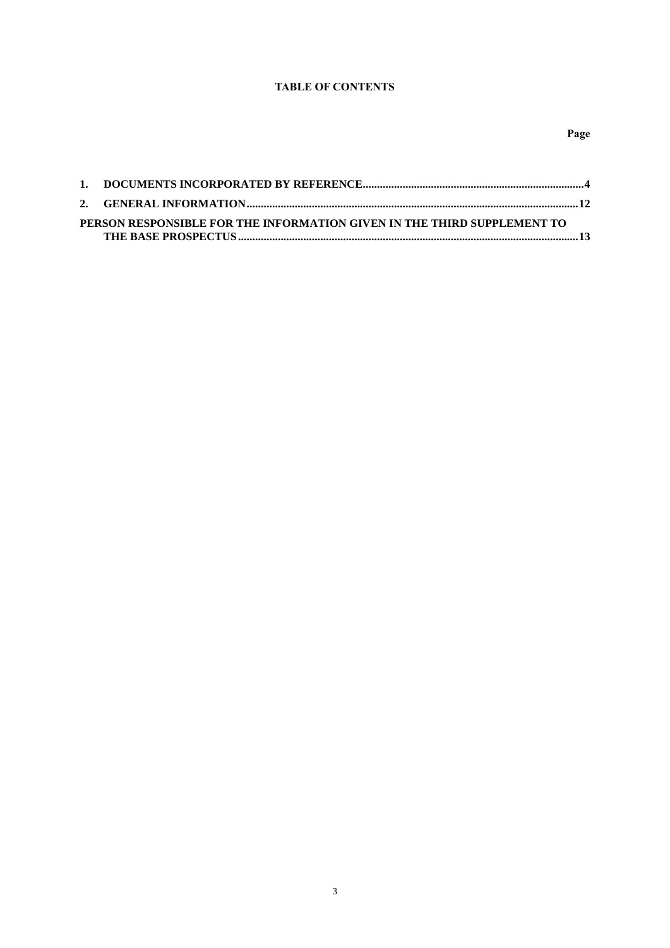## **TABLE OF CONTENTS**

| PERSON RESPONSIBLE FOR THE INFORMATION GIVEN IN THE THIRD SUPPLEMENT TO |  |
|-------------------------------------------------------------------------|--|
|                                                                         |  |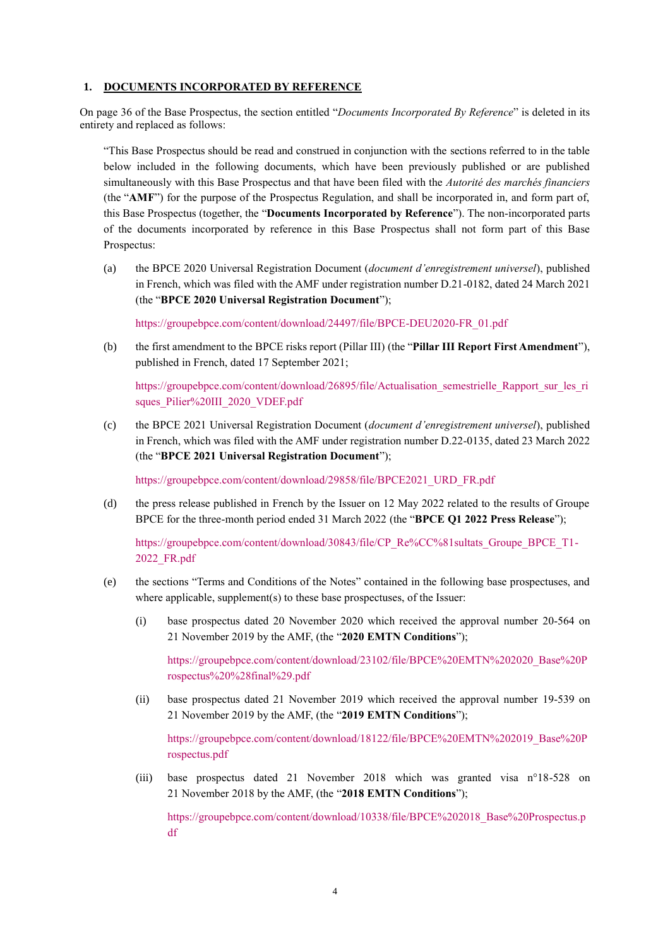### <span id="page-3-0"></span>**1. DOCUMENTS INCORPORATED BY REFERENCE**

On page 36 of the Base Prospectus, the section entitled "*Documents Incorporated By Reference*" is deleted in its entirety and replaced as follows:

"This Base Prospectus should be read and construed in conjunction with the sections referred to in the table below included in the following documents, which have been previously published or are published simultaneously with this Base Prospectus and that have been filed with the *Autorité des marchés financiers* (the "**AMF**") for the purpose of the Prospectus Regulation, and shall be incorporated in, and form part of, this Base Prospectus (together, the "**Documents Incorporated by Reference**"). The non-incorporated parts of the documents incorporated by reference in this Base Prospectus shall not form part of this Base Prospectus:

(a) the BPCE 2020 Universal Registration Document (*document d'enregistrement universel*), published in French, which was filed with the AMF under registration number D.21-0182, dated 24 March 2021 (the "**BPCE 2020 Universal Registration Document**");

[https://groupebpce.com/content/download/24497/file/BPCE-DEU2020-FR\\_01.pdf](https://groupebpce.com/content/download/24497/file/BPCE-DEU2020-FR_01.pdf)

(b) the first amendment to the BPCE risks report (Pillar III) (the "**Pillar III Report First Amendment**"), published in French, dated 17 September 2021;

[https://groupebpce.com/content/download/26895/file/Actualisation\\_semestrielle\\_Rapport\\_sur\\_les\\_ri](https://groupebpce.com/content/download/26895/file/Actualisation_semestrielle_Rapport_sur_les_risques_Pilier%20III_2020_VDEF.pdf) [sques\\_Pilier%20III\\_2020\\_VDEF.pdf](https://groupebpce.com/content/download/26895/file/Actualisation_semestrielle_Rapport_sur_les_risques_Pilier%20III_2020_VDEF.pdf)

(c) the BPCE 2021 Universal Registration Document (*document d'enregistrement universel*), published in French, which was filed with the AMF under registration number D.22-0135, dated 23 March 2022 (the "**BPCE 2021 Universal Registration Document**");

[https://groupebpce.com/content/download/29858/file/BPCE2021\\_URD\\_FR.pdf](https://groupebpce.com/content/download/29858/file/BPCE2021_URD_FR.pdf)

(d) the press release published in French by the Issuer on 12 May 2022 related to the results of Groupe BPCE for the three-month period ended 31 March 2022 (the "**BPCE Q1 2022 Press Release**");

[https://groupebpce.com/content/download/30843/file/CP\\_Re%CC%81sultats\\_Groupe\\_BPCE\\_T1-](https://groupebpce.com/content/download/30843/file/CP_Re%CC%81sultats_Groupe_BPCE_T1-2022_FR.pdf) [2022\\_FR.pdf](https://groupebpce.com/content/download/30843/file/CP_Re%CC%81sultats_Groupe_BPCE_T1-2022_FR.pdf)

- (e) the sections "Terms and Conditions of the Notes" contained in the following base prospectuses, and where applicable, supplement(s) to these base prospectuses, of the Issuer:
	- (i) base prospectus dated 20 November 2020 which received the approval number 20-564 on 21 November 2019 by the AMF, (the "**2020 EMTN Conditions**");

[https://groupebpce.com/content/download/23102/file/BPCE%20EMTN%202020\\_Base%20P](https://groupebpce.com/content/download/23102/file/BPCE%20EMTN%202020_Base%20Prospectus%20%28final%29.pdf) [rospectus%20%28final%29.pdf](https://groupebpce.com/content/download/23102/file/BPCE%20EMTN%202020_Base%20Prospectus%20%28final%29.pdf)

(ii) base prospectus dated 21 November 2019 which received the approval number 19-539 on 21 November 2019 by the AMF, (the "**2019 EMTN Conditions**");

[https://groupebpce.com/content/download/18122/file/BPCE%20EMTN%202019\\_Base%20P](https://groupebpce.com/content/download/18122/file/BPCE%20EMTN%202019_Base%20Prospectus.pdf) [rospectus.pdf](https://groupebpce.com/content/download/18122/file/BPCE%20EMTN%202019_Base%20Prospectus.pdf)

(iii) base prospectus dated 21 November 2018 which was granted visa n°18-528 on 21 November 2018 by the AMF, (the "**2018 EMTN Conditions**");

[https://groupebpce.com/content/download/10338/file/BPCE%202018\\_Base%20Prospectus.p](https://groupebpce.com/content/download/10338/file/BPCE%202018_Base%20Prospectus.pdf) [df](https://groupebpce.com/content/download/10338/file/BPCE%202018_Base%20Prospectus.pdf)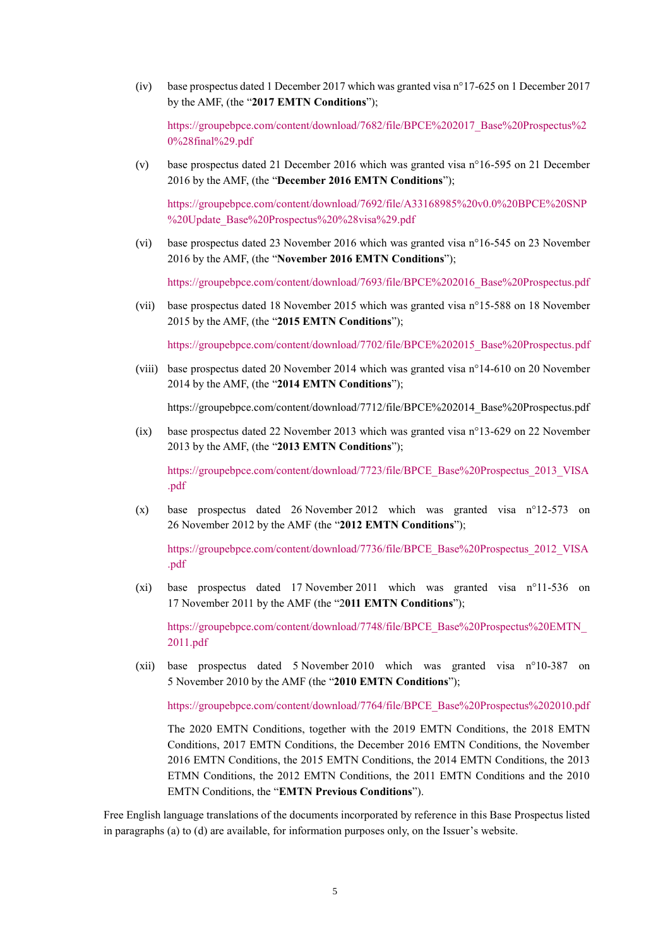(iv) base prospectus dated 1 December 2017 which was granted visa n°17-625 on 1 December 2017 by the AMF, (the "**2017 EMTN Conditions**");

[https://groupebpce.com/content/download/7682/file/BPCE%202017\\_Base%20Prospectus%2](https://groupebpce.com/content/download/7682/file/BPCE%202017_Base%20Prospectus%20%28final%29.pdf) [0%28final%29.pdf](https://groupebpce.com/content/download/7682/file/BPCE%202017_Base%20Prospectus%20%28final%29.pdf)

(v) base prospectus dated 21 December 2016 which was granted visa n°16-595 on 21 December 2016 by the AMF, (the "**December 2016 EMTN Conditions**");

[https://groupebpce.com/content/download/7692/file/A33168985%20v0.0%20BPCE%20SNP](https://groupebpce.com/content/download/7692/file/A33168985%20v0.0%20BPCE%20SNP%20Update_Base%20Prospectus%20%28visa%29.pdf) [%20Update\\_Base%20Prospectus%20%28visa%29.pdf](https://groupebpce.com/content/download/7692/file/A33168985%20v0.0%20BPCE%20SNP%20Update_Base%20Prospectus%20%28visa%29.pdf)

(vi) base prospectus dated 23 November 2016 which was granted visa n°16-545 on 23 November 2016 by the AMF, (the "**November 2016 EMTN Conditions**");

[https://groupebpce.com/content/download/7693/file/BPCE%202016\\_Base%20Prospectus.pdf](https://groupebpce.com/content/download/7693/file/BPCE%202016_Base%20Prospectus.pdf)

(vii) base prospectus dated 18 November 2015 which was granted visa n°15-588 on 18 November 2015 by the AMF, (the "**2015 EMTN Conditions**");

[https://groupebpce.com/content/download/7702/file/BPCE%202015\\_Base%20Prospectus.pdf](https://groupebpce.com/content/download/7702/file/BPCE%202015_Base%20Prospectus.pdf)

(viii) base prospectus dated 20 November 2014 which was granted visa n°14-610 on 20 November 2014 by the AMF, (the "**2014 EMTN Conditions**");

https://groupebpce.com/content/download/7712/file/BPCE%202014\_Base%20Prospectus.pdf

(ix) base prospectus dated 22 November 2013 which was granted visa n°13-629 on 22 November 2013 by the AMF, (the "**2013 EMTN Conditions**");

[https://groupebpce.com/content/download/7723/file/BPCE\\_Base%20Prospectus\\_2013\\_VISA](https://groupebpce.com/content/download/7723/file/BPCE_Base%20Prospectus_2013_VISA.pdf) [.pdf](https://groupebpce.com/content/download/7723/file/BPCE_Base%20Prospectus_2013_VISA.pdf)

(x) base prospectus dated 26 November 2012 which was granted visa n°12-573 on 26 November 2012 by the AMF (the "**2012 EMTN Conditions**");

[https://groupebpce.com/content/download/7736/file/BPCE\\_Base%20Prospectus\\_2012\\_VISA](https://groupebpce.com/content/download/7736/file/BPCE_Base%20Prospectus_2012_VISA.pdf) [.pdf](https://groupebpce.com/content/download/7736/file/BPCE_Base%20Prospectus_2012_VISA.pdf)

(xi) base prospectus dated 17 November 2011 which was granted visa n°11-536 on 17 November 2011 by the AMF (the "2**011 EMTN Conditions**");

[https://groupebpce.com/content/download/7748/file/BPCE\\_Base%20Prospectus%20EMTN\\_](https://groupebpce.com/content/download/7748/file/BPCE_Base%20Prospectus%20EMTN_2011.pdf) [2011.pdf](https://groupebpce.com/content/download/7748/file/BPCE_Base%20Prospectus%20EMTN_2011.pdf)

(xii) base prospectus dated 5 November 2010 which was granted visa n°10-387 on 5 November 2010 by the AMF (the "**2010 EMTN Conditions**");

[https://groupebpce.com/content/download/7764/file/BPCE\\_Base%20Prospectus%202010.pdf](https://groupebpce.com/content/download/7764/file/BPCE_Base%20Prospectus%202010.pdf)

The 2020 EMTN Conditions, together with the 2019 EMTN Conditions, the 2018 EMTN Conditions, 2017 EMTN Conditions, the December 2016 EMTN Conditions, the November 2016 EMTN Conditions, the 2015 EMTN Conditions, the 2014 EMTN Conditions, the 2013 ETMN Conditions, the 2012 EMTN Conditions, the 2011 EMTN Conditions and the 2010 EMTN Conditions, the "**EMTN Previous Conditions**").

Free English language translations of the documents incorporated by reference in this Base Prospectus listed in paragraphs (a) to (d) are available, for information purposes only, on the Issuer's website.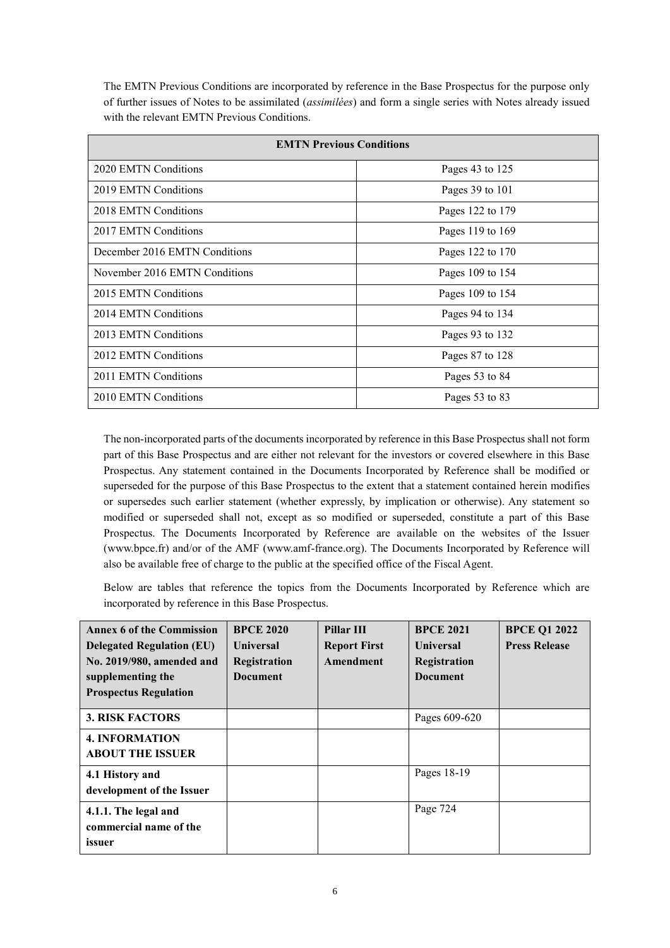The EMTN Previous Conditions are incorporated by reference in the Base Prospectus for the purpose only of further issues of Notes to be assimilated (*assimilées*) and form a single series with Notes already issued with the relevant EMTN Previous Conditions.

| <b>EMTN Previous Conditions</b> |                  |  |  |  |
|---------------------------------|------------------|--|--|--|
| 2020 EMTN Conditions            | Pages 43 to 125  |  |  |  |
| 2019 EMTN Conditions            | Pages 39 to 101  |  |  |  |
| 2018 EMTN Conditions            | Pages 122 to 179 |  |  |  |
| 2017 EMTN Conditions            | Pages 119 to 169 |  |  |  |
| December 2016 EMTN Conditions   | Pages 122 to 170 |  |  |  |
| November 2016 EMTN Conditions   | Pages 109 to 154 |  |  |  |
| 2015 EMTN Conditions            | Pages 109 to 154 |  |  |  |
| 2014 EMTN Conditions            | Pages 94 to 134  |  |  |  |
| 2013 EMTN Conditions            | Pages 93 to 132  |  |  |  |
| 2012 EMTN Conditions            | Pages 87 to 128  |  |  |  |
| 2011 EMTN Conditions            | Pages 53 to 84   |  |  |  |
| 2010 EMTN Conditions            | Pages 53 to 83   |  |  |  |

The non-incorporated parts of the documents incorporated by reference in this Base Prospectus shall not form part of this Base Prospectus and are either not relevant for the investors or covered elsewhere in this Base Prospectus. Any statement contained in the Documents Incorporated by Reference shall be modified or superseded for the purpose of this Base Prospectus to the extent that a statement contained herein modifies or supersedes such earlier statement (whether expressly, by implication or otherwise). Any statement so modified or superseded shall not, except as so modified or superseded, constitute a part of this Base Prospectus. The Documents Incorporated by Reference are available on the websites of the Issuer (www.bpce.fr) and/or of the AMF (www.amf-france.org). The Documents Incorporated by Reference will also be available free of charge to the public at the specified office of the Fiscal Agent.

Below are tables that reference the topics from the Documents Incorporated by Reference which are incorporated by reference in this Base Prospectus.

| <b>Annex 6 of the Commission</b><br><b>Delegated Regulation (EU)</b><br>No. 2019/980, amended and<br>supplementing the<br><b>Prospectus Regulation</b> | <b>BPCE 2020</b><br><b>Universal</b><br>Registration<br>Document | Pillar III<br><b>Report First</b><br>Amendment | <b>BPCE 2021</b><br><b>Universal</b><br>Registration<br><b>Document</b> | <b>BPCE Q1 2022</b><br><b>Press Release</b> |
|--------------------------------------------------------------------------------------------------------------------------------------------------------|------------------------------------------------------------------|------------------------------------------------|-------------------------------------------------------------------------|---------------------------------------------|
| <b>3. RISK FACTORS</b>                                                                                                                                 |                                                                  |                                                | Pages 609-620                                                           |                                             |
| <b>4. INFORMATION</b><br><b>ABOUT THE ISSUER</b>                                                                                                       |                                                                  |                                                |                                                                         |                                             |
| 4.1 History and<br>development of the Issuer                                                                                                           |                                                                  |                                                | Pages 18-19                                                             |                                             |
| 4.1.1. The legal and<br>commercial name of the<br>issuer                                                                                               |                                                                  |                                                | Page 724                                                                |                                             |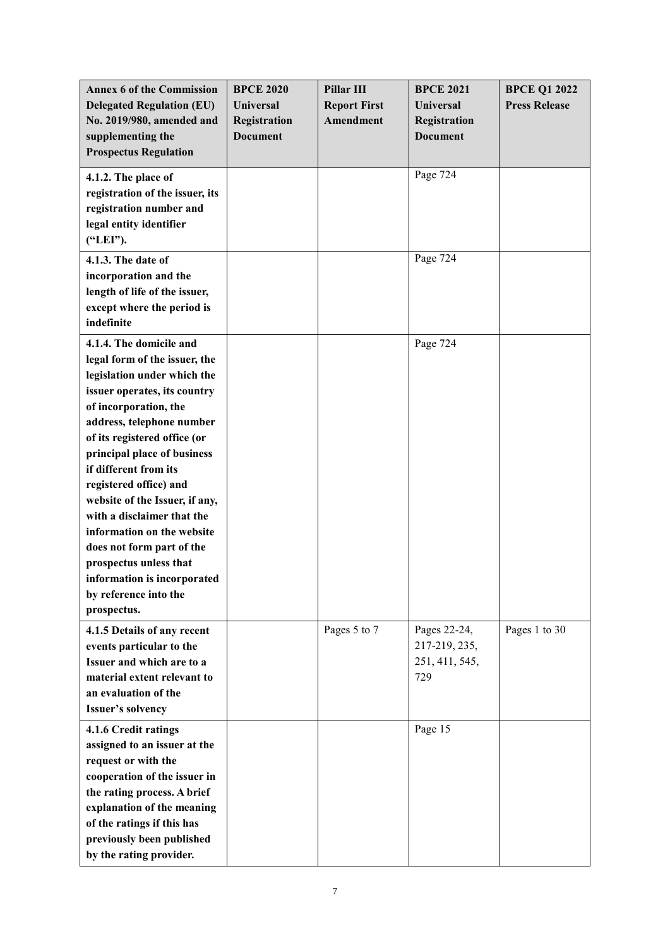| <b>Annex 6 of the Commission</b><br><b>Delegated Regulation (EU)</b><br>No. 2019/980, amended and<br>supplementing the<br><b>Prospectus Regulation</b>                                                                                                                                                                                                                                                                                                                                                                      | <b>BPCE 2020</b><br>Universal<br>Registration<br><b>Document</b> | Pillar III<br><b>Report First</b><br>Amendment | <b>BPCE 2021</b><br><b>Universal</b><br>Registration<br><b>Document</b> | <b>BPCE Q1 2022</b><br><b>Press Release</b> |
|-----------------------------------------------------------------------------------------------------------------------------------------------------------------------------------------------------------------------------------------------------------------------------------------------------------------------------------------------------------------------------------------------------------------------------------------------------------------------------------------------------------------------------|------------------------------------------------------------------|------------------------------------------------|-------------------------------------------------------------------------|---------------------------------------------|
| 4.1.2. The place of<br>registration of the issuer, its<br>registration number and<br>legal entity identifier<br>("LEI").                                                                                                                                                                                                                                                                                                                                                                                                    |                                                                  |                                                | Page 724                                                                |                                             |
| 4.1.3. The date of<br>incorporation and the<br>length of life of the issuer,<br>except where the period is<br>indefinite                                                                                                                                                                                                                                                                                                                                                                                                    |                                                                  |                                                | Page $72\overline{4}$                                                   |                                             |
| 4.1.4. The domicile and<br>legal form of the issuer, the<br>legislation under which the<br>issuer operates, its country<br>of incorporation, the<br>address, telephone number<br>of its registered office (or<br>principal place of business<br>if different from its<br>registered office) and<br>website of the Issuer, if any,<br>with a disclaimer that the<br>information on the website<br>does not form part of the<br>prospectus unless that<br>information is incorporated<br>by reference into the<br>prospectus. |                                                                  |                                                | Page 724                                                                |                                             |
| 4.1.5 Details of any recent<br>events particular to the<br>Issuer and which are to a<br>material extent relevant to<br>an evaluation of the<br>Issuer's solvency                                                                                                                                                                                                                                                                                                                                                            |                                                                  | Pages 5 to 7                                   | Pages 22-24,<br>217-219, 235,<br>251, 411, 545,<br>729                  | Pages 1 to 30                               |
| 4.1.6 Credit ratings<br>assigned to an issuer at the<br>request or with the<br>cooperation of the issuer in<br>the rating process. A brief<br>explanation of the meaning<br>of the ratings if this has<br>previously been published<br>by the rating provider.                                                                                                                                                                                                                                                              |                                                                  |                                                | Page 15                                                                 |                                             |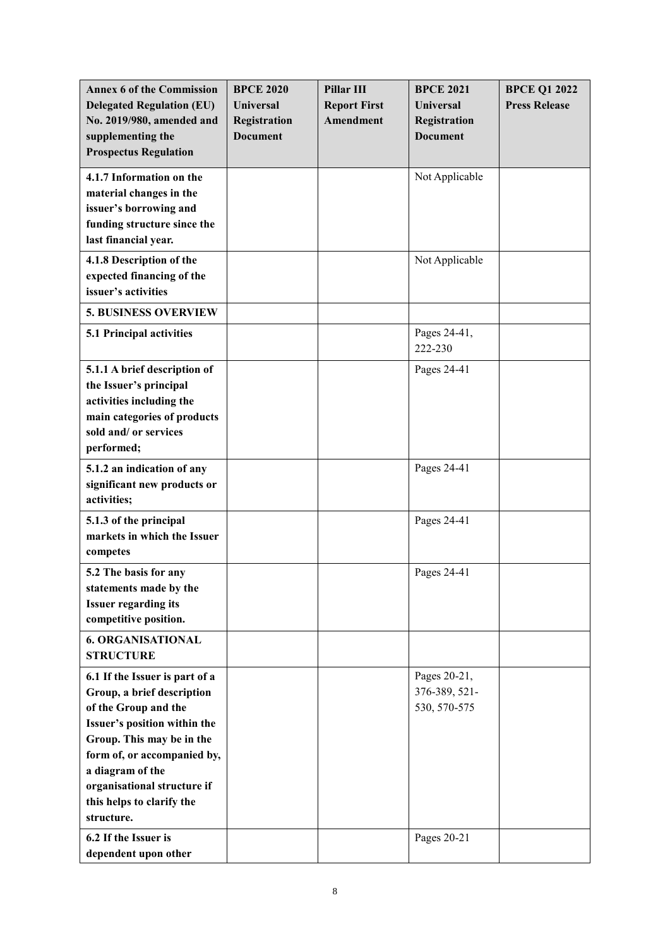| <b>Annex 6 of the Commission</b><br><b>Delegated Regulation (EU)</b><br>No. 2019/980, amended and<br>supplementing the<br><b>Prospectus Regulation</b>                                                                                                                         | <b>BPCE 2020</b><br><b>Universal</b><br>Registration<br><b>Document</b> | Pillar III<br><b>Report First</b><br>Amendment | <b>BPCE 2021</b><br><b>Universal</b><br><b>Registration</b><br><b>Document</b> | <b>BPCE Q1 2022</b><br><b>Press Release</b> |
|--------------------------------------------------------------------------------------------------------------------------------------------------------------------------------------------------------------------------------------------------------------------------------|-------------------------------------------------------------------------|------------------------------------------------|--------------------------------------------------------------------------------|---------------------------------------------|
| 4.1.7 Information on the<br>material changes in the<br>issuer's borrowing and<br>funding structure since the<br>last financial year.                                                                                                                                           |                                                                         |                                                | Not Applicable                                                                 |                                             |
| 4.1.8 Description of the<br>expected financing of the<br>issuer's activities                                                                                                                                                                                                   |                                                                         |                                                | Not Applicable                                                                 |                                             |
| <b>5. BUSINESS OVERVIEW</b>                                                                                                                                                                                                                                                    |                                                                         |                                                |                                                                                |                                             |
| 5.1 Principal activities                                                                                                                                                                                                                                                       |                                                                         |                                                | Pages 24-41,<br>222-230                                                        |                                             |
| 5.1.1 A brief description of<br>the Issuer's principal<br>activities including the<br>main categories of products<br>sold and/ or services<br>performed;                                                                                                                       |                                                                         |                                                | Pages 24-41                                                                    |                                             |
| 5.1.2 an indication of any<br>significant new products or<br>activities;                                                                                                                                                                                                       |                                                                         |                                                | Pages 24-41                                                                    |                                             |
| 5.1.3 of the principal<br>markets in which the Issuer<br>competes                                                                                                                                                                                                              |                                                                         |                                                | Pages 24-41                                                                    |                                             |
| 5.2 The basis for any<br>statements made by the<br><b>Issuer regarding its</b><br>competitive position.                                                                                                                                                                        |                                                                         |                                                | Pages 24-41                                                                    |                                             |
| <b>6. ORGANISATIONAL</b><br><b>STRUCTURE</b>                                                                                                                                                                                                                                   |                                                                         |                                                |                                                                                |                                             |
| 6.1 If the Issuer is part of a<br>Group, a brief description<br>of the Group and the<br>Issuer's position within the<br>Group. This may be in the<br>form of, or accompanied by,<br>a diagram of the<br>organisational structure if<br>this helps to clarify the<br>structure. |                                                                         |                                                | Pages 20-21,<br>376-389, 521-<br>530, 570-575                                  |                                             |
| 6.2 If the Issuer is<br>dependent upon other                                                                                                                                                                                                                                   |                                                                         |                                                | Pages 20-21                                                                    |                                             |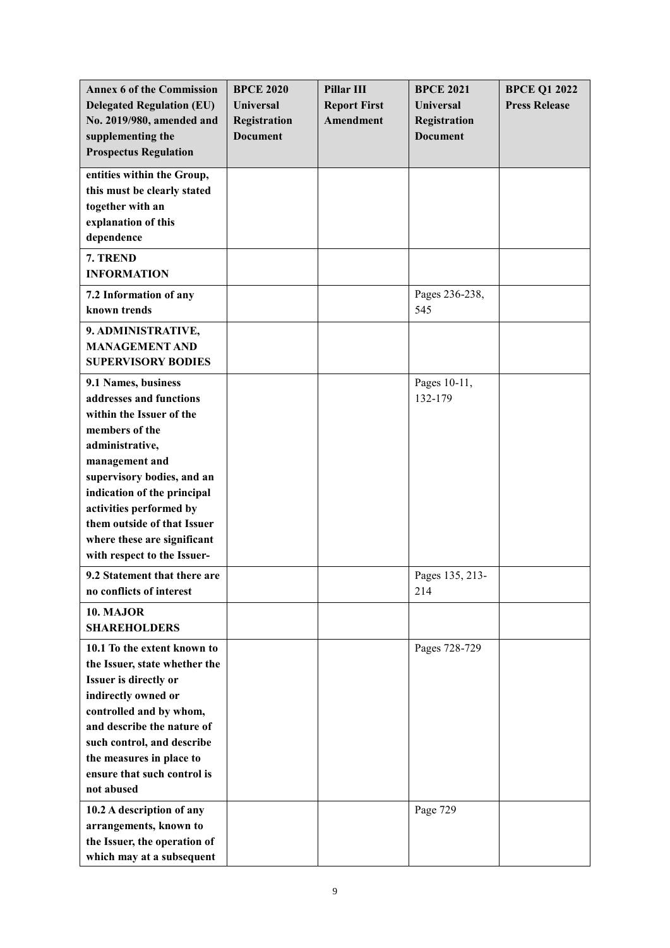| <b>Annex 6 of the Commission</b><br><b>Delegated Regulation (EU)</b><br>No. 2019/980, amended and<br>supplementing the<br><b>Prospectus Regulation</b>                                                                                                                                                                 | <b>BPCE 2020</b><br><b>Universal</b><br>Registration<br><b>Document</b> | Pillar III<br><b>Report First</b><br>Amendment | <b>BPCE 2021</b><br><b>Universal</b><br>Registration<br><b>Document</b> | <b>BPCE Q1 2022</b><br><b>Press Release</b> |
|------------------------------------------------------------------------------------------------------------------------------------------------------------------------------------------------------------------------------------------------------------------------------------------------------------------------|-------------------------------------------------------------------------|------------------------------------------------|-------------------------------------------------------------------------|---------------------------------------------|
| entities within the Group,<br>this must be clearly stated<br>together with an<br>explanation of this<br>dependence                                                                                                                                                                                                     |                                                                         |                                                |                                                                         |                                             |
| 7. TREND<br><b>INFORMATION</b>                                                                                                                                                                                                                                                                                         |                                                                         |                                                |                                                                         |                                             |
| 7.2 Information of any<br>known trends                                                                                                                                                                                                                                                                                 |                                                                         |                                                | Pages 236-238,<br>545                                                   |                                             |
| 9. ADMINISTRATIVE,<br><b>MANAGEMENT AND</b><br><b>SUPERVISORY BODIES</b>                                                                                                                                                                                                                                               |                                                                         |                                                |                                                                         |                                             |
| 9.1 Names, business<br>addresses and functions<br>within the Issuer of the<br>members of the<br>administrative,<br>management and<br>supervisory bodies, and an<br>indication of the principal<br>activities performed by<br>them outside of that Issuer<br>where these are significant<br>with respect to the Issuer- |                                                                         |                                                | Pages 10-11,<br>132-179                                                 |                                             |
| 9.2 Statement that there are<br>no conflicts of interest                                                                                                                                                                                                                                                               |                                                                         |                                                | Pages 135, 213-<br>214                                                  |                                             |
| 10. MAJOR<br><b>SHAREHOLDERS</b>                                                                                                                                                                                                                                                                                       |                                                                         |                                                |                                                                         |                                             |
| 10.1 To the extent known to<br>the Issuer, state whether the<br>Issuer is directly or<br>indirectly owned or<br>controlled and by whom,<br>and describe the nature of<br>such control, and describe<br>the measures in place to<br>ensure that such control is<br>not abused                                           |                                                                         |                                                | Pages 728-729                                                           |                                             |
| 10.2 A description of any<br>arrangements, known to<br>the Issuer, the operation of<br>which may at a subsequent                                                                                                                                                                                                       |                                                                         |                                                | Page 729                                                                |                                             |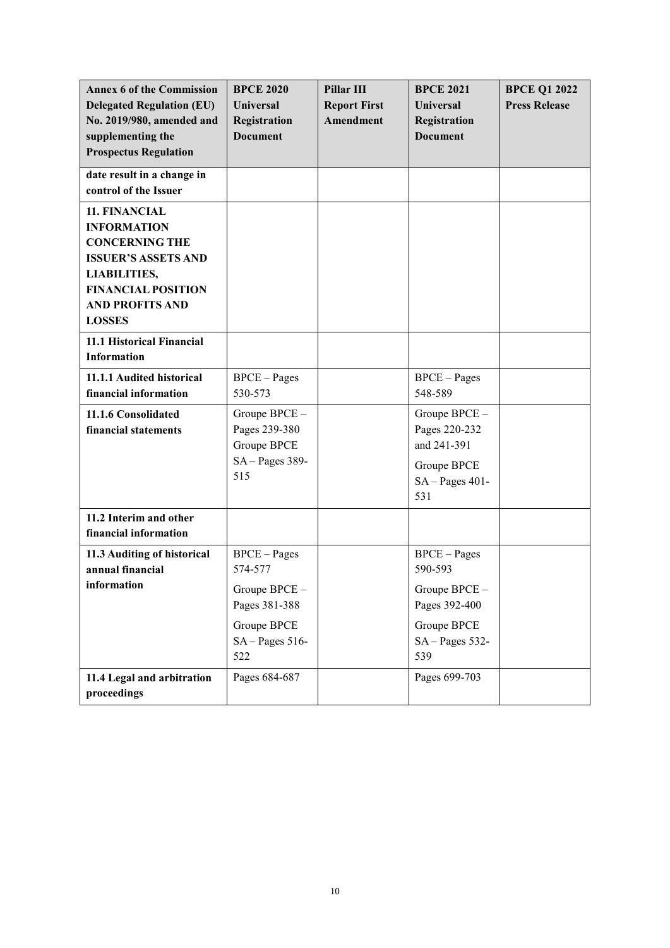| <b>Annex 6 of the Commission</b><br><b>Delegated Regulation (EU)</b><br>No. 2019/980, amended and<br>supplementing the<br><b>Prospectus Regulation</b>                                    | <b>BPCE 2020</b><br><b>Universal</b><br>Registration<br><b>Document</b>                                   | <b>Pillar III</b><br><b>Report First</b><br>Amendment | <b>BPCE 2021</b><br><b>Universal</b><br>Registration<br><b>Document</b>                               | <b>BPCE Q1 2022</b><br><b>Press Release</b> |
|-------------------------------------------------------------------------------------------------------------------------------------------------------------------------------------------|-----------------------------------------------------------------------------------------------------------|-------------------------------------------------------|-------------------------------------------------------------------------------------------------------|---------------------------------------------|
| date result in a change in<br>control of the Issuer                                                                                                                                       |                                                                                                           |                                                       |                                                                                                       |                                             |
| 11. FINANCIAL<br><b>INFORMATION</b><br><b>CONCERNING THE</b><br><b>ISSUER'S ASSETS AND</b><br><b>LIABILITIES,</b><br><b>FINANCIAL POSITION</b><br><b>AND PROFITS AND</b><br><b>LOSSES</b> |                                                                                                           |                                                       |                                                                                                       |                                             |
| 11.1 Historical Financial<br><b>Information</b>                                                                                                                                           |                                                                                                           |                                                       |                                                                                                       |                                             |
| 11.1.1 Audited historical<br>financial information                                                                                                                                        | <b>BPCE</b> – Pages<br>530-573                                                                            |                                                       | $BPCE-Pages$<br>548-589                                                                               |                                             |
| 11.1.6 Consolidated<br>financial statements                                                                                                                                               | Groupe BPCE-<br>Pages 239-380<br>Groupe BPCE<br>$SA-Pages 389-$<br>515                                    |                                                       | Groupe BPCE -<br>Pages 220-232<br>and 241-391<br>Groupe BPCE<br>$SA-Pages 401-$<br>531                |                                             |
| 11.2 Interim and other<br>financial information                                                                                                                                           |                                                                                                           |                                                       |                                                                                                       |                                             |
| 11.3 Auditing of historical<br>annual financial<br>information                                                                                                                            | <b>BPCE</b> – Pages<br>574-577<br>Groupe BPCE -<br>Pages 381-388<br>Groupe BPCE<br>$SA-Pages 516-$<br>522 |                                                       | $BPCE-Pages$<br>590-593<br>Groupe BPCE -<br>Pages 392-400<br>Groupe BPCE<br>$SA - Pages 532 -$<br>539 |                                             |
| 11.4 Legal and arbitration<br>proceedings                                                                                                                                                 | Pages 684-687                                                                                             |                                                       | Pages 699-703                                                                                         |                                             |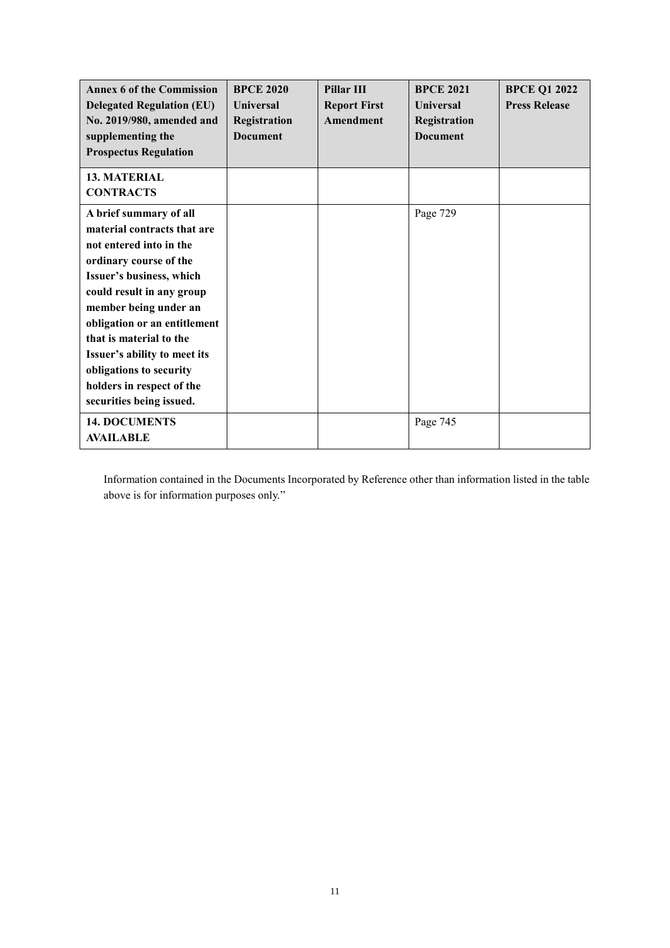| <b>Annex 6 of the Commission</b><br><b>Delegated Regulation (EU)</b><br>No. 2019/980, amended and<br>supplementing the<br><b>Prospectus Regulation</b>                                                                                                                                                                                                                      | <b>BPCE 2020</b><br><b>Universal</b><br>Registration<br><b>Document</b> | Pillar III<br><b>Report First</b><br><b>Amendment</b> | <b>BPCE 2021</b><br><b>Universal</b><br>Registration<br><b>Document</b> | <b>BPCE Q1 2022</b><br><b>Press Release</b> |
|-----------------------------------------------------------------------------------------------------------------------------------------------------------------------------------------------------------------------------------------------------------------------------------------------------------------------------------------------------------------------------|-------------------------------------------------------------------------|-------------------------------------------------------|-------------------------------------------------------------------------|---------------------------------------------|
| <b>13. MATERIAL</b><br><b>CONTRACTS</b>                                                                                                                                                                                                                                                                                                                                     |                                                                         |                                                       |                                                                         |                                             |
| A brief summary of all<br>material contracts that are<br>not entered into in the<br>ordinary course of the<br>Issuer's business, which<br>could result in any group<br>member being under an<br>obligation or an entitlement<br>that is material to the<br>Issuer's ability to meet its<br>obligations to security<br>holders in respect of the<br>securities being issued. |                                                                         |                                                       | Page 729                                                                |                                             |
| <b>14. DOCUMENTS</b><br><b>AVAILABLE</b>                                                                                                                                                                                                                                                                                                                                    |                                                                         |                                                       | Page 745                                                                |                                             |

Information contained in the Documents Incorporated by Reference other than information listed in the table above is for information purposes only."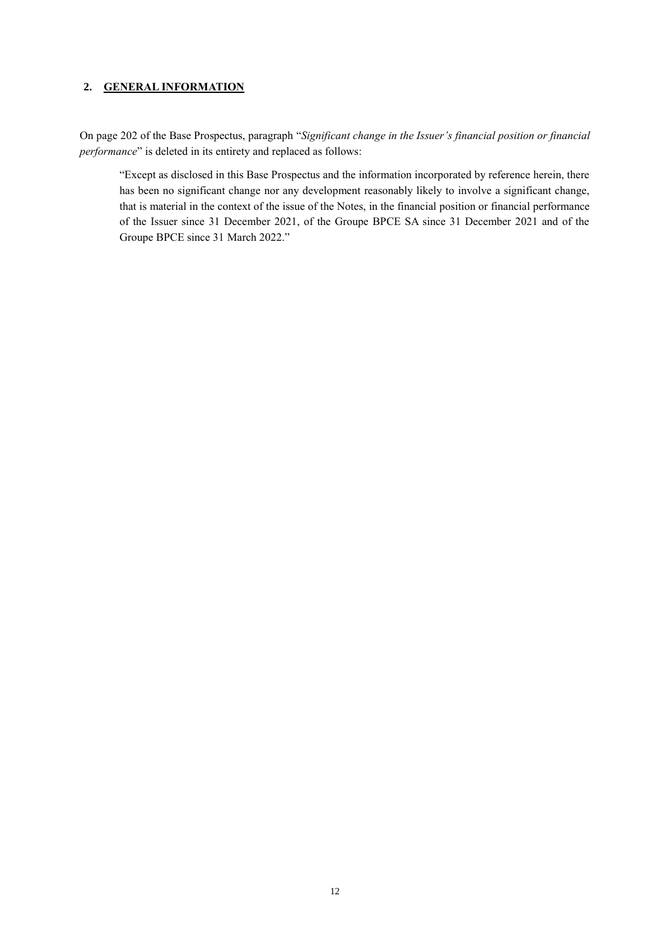## <span id="page-11-0"></span>**2. GENERAL INFORMATION**

On page 202 of the Base Prospectus, paragraph "*Significant change in the Issuer's financial position or financial performance*" is deleted in its entirety and replaced as follows:

"Except as disclosed in this Base Prospectus and the information incorporated by reference herein, there has been no significant change nor any development reasonably likely to involve a significant change, that is material in the context of the issue of the Notes, in the financial position or financial performance of the Issuer since 31 December 2021, of the Groupe BPCE SA since 31 December 2021 and of the Groupe BPCE since 31 March 2022."